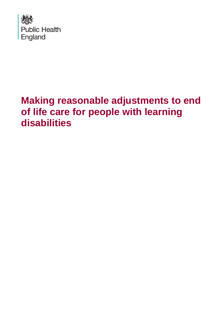

# <span id="page-0-0"></span>**Making reasonable adjustments to end of life care for people with learning disabilities**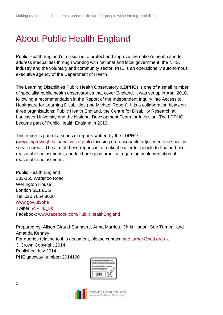# About Public Health England

Public Health England's mission is to protect and improve the nation's health and to address inequalities through working with national and local government, the NHS, industry and the voluntary and community sector. PHE is an operationally autonomous executive agency of the Department of Health.

The Learning Disabilities Public Health Observatory (LDPHO) is one of a small number of specialist public health observatories that cover England. It was set up in April 2010, following a recommendation in the Report of the Independent Inquiry into Access to Healthcare for Learning Disabilities (the Michael Report). It is a collaboration between three organisations: Public Health England, the Centre for Disability Research at Lancaster University and the National Development Team for Inclusion. The LDPHO became part of Public Health England in 2013.

This report is part of a series of reports written by the LDPHO [\(www.improvinghealthandlives.org.uk\)](http://www.improvinghealthandlives.org.uk/) focusing on reasonable adjustments in specific service areas. The aim of these reports is to make it easier for people to find and use reasonable adjustments, and to share good practice regarding implementation of reasonable adjustments.

Public Health England 133-155 Waterloo Road Wellington House London SE1 8UG Tel: 020 7654 8000 [www.gov.uk/phe](http://www.gov.uk/phe) Twitter: [@PHE\\_uk](https://twitter.com/PHE_uk) Facebook: [www.facebook.com/PublicHealthEngland](http://www.facebook.com/PublicHealthEngland)

Prepared by: Alison Giraud-Saunders, Anna Marriott, Chris Hatton, Sue Turner, and Amanda Kenney For queries relating to this document, please contact: [sue.turner@ndti.org.uk](mailto:sue.turner@ndti.org.uk) © Crown Copyright 2014 Published July 2014 PHE gateway number: 2014190





Improving Health and Lives<br>Learning Disabilities Observatory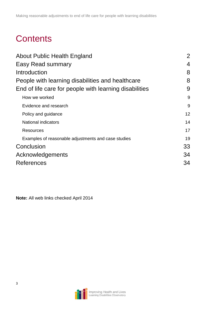# **Contents**

| $\overline{2}$ |
|----------------|
| 4              |
| 8              |
| 8              |
| 9              |
| 9              |
| 9              |
| 12             |
| 14             |
| 17             |
| 19             |
| 33             |
| 34             |
| 34             |
|                |

<span id="page-2-0"></span>**Note:** All web links checked April 2014

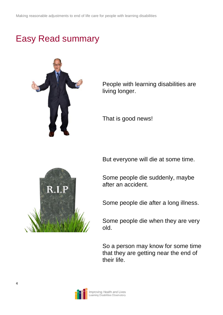## Easy Read summary



People with learning disabilities are living longer.

That is good news!

But everyone will die at some time.



Some people die suddenly, maybe after an accident.

Some people die after a long illness.

Some people die when they are very old.

So a person may know for some time that they are getting near the end of their life.

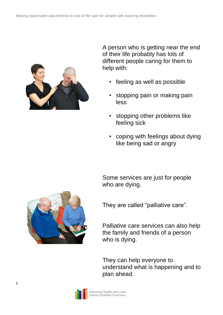

 A person who is getting near the end of their life probably has lots of different people caring for them to help with:

- feeling as well as possible
- stopping pain or making pain less
- stopping other problems like feeling sick
- coping with feelings about dying like being sad or angry

Some services are just for people who are dying.

They are called "palliative care".



Palliative care services can also help the family and friends of a person who is dying.

They can help everyone to understand what is happening and to plan ahead.

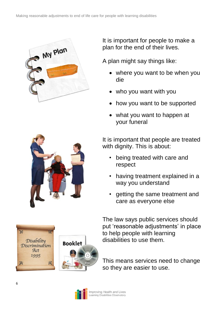







It is important for people to make a plan for the end of their lives.

A plan might say things like:

- where you want to be when you die
- who you want with you
- how you want to be supported
- what you want to happen at your funeral

It is important that people are treated with dignity. This is about:

- being treated with care and respect
- having treatment explained in a way you understand
- getting the same treatment and care as everyone else

The law says public services should put 'reasonable adjustments' in place to help people with learning disabilities to use them.

This means services need to change so they are easier to use.

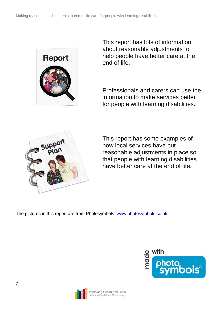

This report has lots of information about reasonable adjustments to help people have better care at the end of life.

Professionals and carers can use the information to make services better for people with learning disabilities.



This report has some examples of how local services have put reasonable adjustments in place so that people with learning disabilities have better care at the end of life.

The pictures in this report are from Photosymbols: [www.photosymbols.co.uk](http://www.photosymbols.co.uk/)



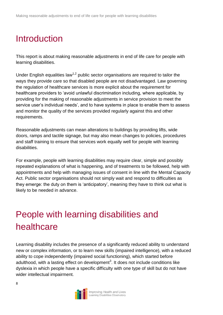## <span id="page-7-0"></span>**Introduction**

This report is about making reasonable adjustments in end of life care for people with learning disabilities.

Under English equalities law<sup>1,2</sup> public sector organisations are required to tailor the ways they provide care so that disabled people are not disadvantaged. Law governing the regulation of healthcare services is more explicit about the requirement for healthcare providers to 'avoid unlawful discrimination including, where applicable, by providing for the making of reasonable adjustments in service provision to meet the service user's individual needs', and to have systems in place to enable them to assess and monitor the quality of the services provided regularly against this and other requirements.

Reasonable adjustments can mean alterations to buildings by providing lifts, wide doors, ramps and tactile signage, but may also mean changes to policies, procedures and staff training to ensure that services work equally well for people with learning disabilities.

For example, people with learning disabilities may require clear, simple and possibly repeated explanations of what is happening, and of treatments to be followed, help with appointments and help with managing issues of consent in line with the Mental Capacity Act. Public sector organisations should not simply wait and respond to difficulties as they emerge: the duty on them is 'anticipatory', meaning they have to think out what is likely to be needed in advance.

# <span id="page-7-1"></span>People with learning disabilities and healthcare

Learning disability includes the presence of a significantly reduced ability to understand new or complex information, or to learn new skills (impaired intelligence), with a reduced ability to cope independently (impaired social functioning), which started before adulthood, with a lasting effect on development<sup>3</sup>. It does not include conditions like dyslexia in which people have a specific difficulty with one type of skill but do not have wider intellectual impairment.

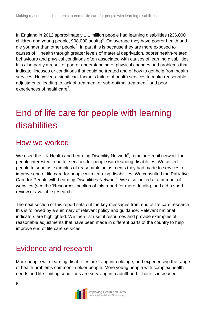In England in 2012 approximately 1.1 million people had learning disabilities (236,000 children and young people, 908,000 adults)<sup>4</sup>. On average they have poorer health and die younger than other people<sup>5</sup>. In part this is because they are more exposed to causes of ill health through greater levels of material deprivation, poorer health-related behaviours and physical conditions often associated with causes of learning disabilities. It is also partly a result of poorer understanding of physical changes and problems that indicate illnesses or conditions that could be treated and of how to get help from health services. However, a significant factor is failure of health services to make reasonable adjustments, leading to lack of treatment or sub-optimal treatment<sup>6</sup> and poor experiences of healthcare<sup>7</sup>.

## <span id="page-8-0"></span>End of life care for people with learning disabilities

### <span id="page-8-1"></span>How we worked

We used the UK Health and Learning Disability Network $^8$ , a major e-mail network for people interested in better services for people with learning disabilities. We asked people to send us examples of reasonable adjustments they had made to services to improve end of life care for people with learning disabilities. We consulted the Palliative Care for People with Learning Disabilities Network<sup>9</sup>. We also looked at a number of websites (see the 'Resources' section of this report for more details), and did a short review of available research.

The next section of this report sets out the key messages from end of life care research; this is followed by a summary of relevant policy and guidance. Relevant national indicators are highlighted. We then list useful resources and provide examples of reasonable adjustments that have been made in different parts of the country to help improve end of life care services.

### <span id="page-8-2"></span>Evidence and research

More people with learning disabilities are living into old age, and experiencing the range of health problems common in older people. More young people with complex health needs and life-limiting conditions are surviving into adulthood. There is increased

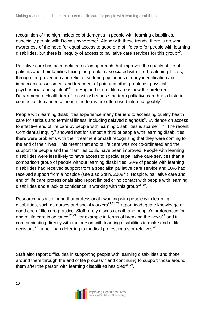recognition of the high incidence of dementia in people with learning disabilities, especially people with Down's syndrome<sup>5</sup>. Along with these trends, there is growing awareness of the need for equal access to good end of life care for people with learning disabilities, but there is inequity of access to palliative care services for this group<sup>10</sup>.

Palliative care has been defined as "an approach that improves the quality of life of patients and their families facing the problem associated with life-threatening illness, through the prevention and relief of suffering by means of early identification and impeccable assessment and treatment of pain and other problems, physical, psychosocial and spiritual"<sup>11</sup>. In England end of life care is now the preferred Department of Health term<sup>12</sup>, possibly because the term palliative care has a historic connection to cancer, although the terms are often used interchangeably<sup>13</sup>.

People with learning disabilities experience many barriers to accessing quality health care for serious and terminal illness, including delayed diagnosis $^6$ . Evidence on access to effective end of life care by people with learning disabilities is sparse  $14-16$ . The recent Confidential Inquiry<sup>6</sup> showed that for almost a third of people with learning disabilities there were problems with their treatment or staff recognising that they were coming to the end of their lives. This meant that end of life care was not co-ordinated and the support for people and their families could have been improved. People with learning disabilities were less likely to have access to specialist palliative care services than a comparison group of people without learning disabilities; 20% of people with learning disabilities had received support from a specialist palliative care service and 10% had received support from a hospice (see also Stein,  $2008<sup>17</sup>$ ). Hospice, palliative care and end of life care professionals also report limited or no contact with people with learning disabilities and a lack of confidence in working with this group<sup>18-20</sup>.

Research has also found that professionals working with people with learning disabilities, such as nurses and social workers<sup>21,20,22</sup> report inadequate knowledge of good end of life care practice. Staff rarely discuss death and people's preferences for end of life care in advance<sup>22,23</sup>, for example in terms of breaking the news<sup>24</sup> and in communicating directly with the person with learning disabilities to make end of life decisions<sup>25</sup> rather than deferring to medical professionals or relatives<sup>26</sup>.

Staff also report difficulties in supporting people with learning disabilities and those around them through the end of life process $^{27}$  and continuing to support those around them after the person with learning disabilities has died $^{28,29}.$ 

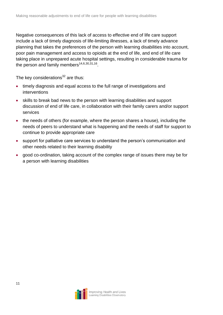Negative consequences of this lack of access to effective end of life care support include a lack of timely diagnosis of life-limiting illnesses, a lack of timely advance planning that takes the preferences of the person with learning disabilities into account, poor pain management and access to opioids at the end of life, and end of life care taking place in unprepared acute hospital settings, resulting in considerable trauma for the person and family members $14,6,30,31,16$ .

The key considerations $32$  are thus:

- timely diagnosis and equal access to the full range of investigations and interventions
- skills to break bad news to the person with learning disabilities and support discussion of end of life care, in collaboration with their family carers and/or support services
- the needs of others (for example, where the person shares a house), including the needs of peers to understand what is happening and the needs of staff for support to continue to provide appropriate care
- support for palliative care services to understand the person's communication and other needs related to their learning disability
- <span id="page-10-0"></span> good co-ordination, taking account of the complex range of issues there may be for a person with learning disabilities

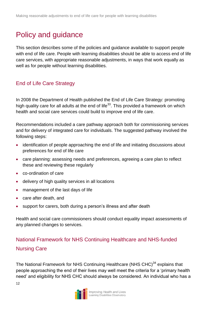### Policy and guidance

This section describes some of the policies and guidance available to support people with end of life care. People with learning disabilities should be able to access end of life care services, with appropriate reasonable adjustments, in ways that work equally as well as for people without learning disabilities.

#### End of Life Care Strategy

In 2008 the Department of Health published the End of Life Care Strategy: promoting high quality care for all adults at the end of life<sup>33</sup>. This provided a framework on which health and social care services could build to improve end of life care.

Recommendations included a care pathway approach both for commissioning services and for delivery of integrated care for individuals. The suggested pathway involved the following steps:

- identification of people approaching the end of life and initiating discussions about preferences for end of life care
- care planning: assessing needs and preferences, agreeing a care plan to reflect these and reviewing these regularly
- co-ordination of care
- delivery of high quality services in all locations
- management of the last days of life
- care after death, and
- support for carers, both during a person's illness and after death

Health and social care commissioners should conduct equality impact assessments of any planned changes to services.

### National Framework for NHS Continuing Healthcare and NHS-funded Nursing Care

The National Framework for NHS Continuing Healthcare (NHS CHC) $34$  explains that people approaching the end of their lives may well meet the criteria for a 'primary health need' and eligibility for NHS CHC should always be considered. An individual who has a

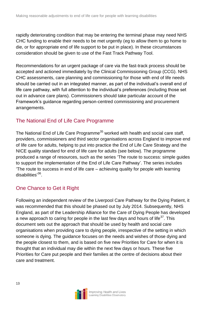rapidly deteriorating condition that may be entering the terminal phase may need NHS CHC funding to enable their needs to be met urgently (eg to allow them to go home to die, or for appropriate end of life support to be put in place). In these circumstances consideration should be given to use of the Fast Track Pathway Tool.

Recommendations for an urgent package of care via the fast-track process should be accepted and actioned immediately by the Clinical Commissioning Group (CCG). NHS CHC assessments, care planning and commissioning for those with end of life needs should be carried out in an integrated manner, as part of the individual's overall end of life care pathway, with full attention to the individual's preferences (including those set out in advance care plans). Commissioners should take particular account of the Framework's guidance regarding person-centred commissioning and procurement arrangements.

### The National End of Life Care Programme

The National End of Life Care Programme<sup>35</sup> worked with health and social care staff, providers, commissioners and third sector organisations across England to improve end of life care for adults, helping to put into practice the End of Life Care Strategy and the NICE quality standard for end of life care for adults (see below). The programme produced a range of resources, such as the series 'The route to success: simple guides to support the implementation of the End of Life Care Pathway'. The series includes 'The route to success in end of life care – achieving quality for people with learning disabilities'<sup>36</sup>.

### One Chance to Get it Right

Following an independent review of the Liverpool Care Pathway for the Dying Patient, it was recommended that this should be phased out by July 2014. Subsequently, NHS England, as part of the Leadership Alliance for the Care of Dying People has developed a new approach to caring for people in the last few days and hours of life<sup>37</sup>. This document sets out the approach that should be used by health and social care organisations when providing care to dying people, irrespective of the setting in which someone is dying. The guidance focuses on the needs and wishes of those dying and the people closest to them, and is based on five new Priorities for Care for when it is thought that an individual may die within the next few days or hours. These five Priorities for Care put people and their families at the centre of decisions about their care and treatment.



<span id="page-12-0"></span>13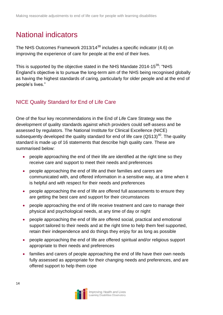### National indicators

The NHS Outcomes Framework 2013/14 $^{38}$  includes a specific indicator (4.6) on improving the experience of care for people at the end of their lives.

This is supported by the objective stated in the NHS Mandate 2014-15 $^{39}$ : "NHS England's objective is to pursue the long-term aim of the NHS being recognised globally as having the highest standards of caring, particularly for older people and at the end of people's lives."

### NICE Quality Standard for End of Life Care

One of the four key recommendations in the End of Life Care Strategy was the development of quality standards against which providers could self-assess and be assessed by regulators. The National Institute for Clinical Excellence (NICE) subsequently developed the quality standard for end of life care  $(QS13)^{40}$ . The quality standard is made up of 16 statements that describe high quality care. These are summarised below:

- people approaching the end of their life are identified at the right time so they receive care and support to meet their needs and preferences
- people approaching the end of life and their families and carers are communicated with, and offered information in a sensitive way, at a time when it is helpful and with respect for their needs and preferences
- people approaching the end of life are offered full assessments to ensure they are getting the best care and support for their circumstances
- people approaching the end of life receive treatment and care to manage their physical and psychological needs, at any time of day or night
- people approaching the end of life are offered social, practical and emotional support tailored to their needs and at the right time to help them feel supported, retain their independence and do things they enjoy for as long as possible
- people approaching the end of life are offered spiritual and/or religious support appropriate to their needs and preferences
- families and carers of people approaching the end of life have their own needs fully assessed as appropriate for their changing needs and preferences, and are offered support to help them cope



14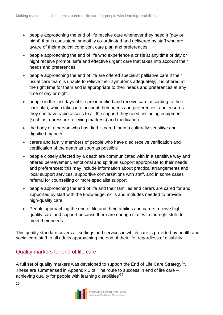- people approaching the end of life receive care whenever they need it (day or night) that is consistent, smoothly co-ordinated and delivered by staff who are aware of their medical condition, care plan and preferences
- people approaching the end of life who experience a crisis at any time of day or night receive prompt, safe and effective urgent care that takes into account their needs and preferences
- people approaching the end of life are offered specialist palliative care if their usual care team is unable to relieve their symptoms adequately; it is offered at the right time for them and is appropriate to their needs and preferences at any time of day or night
- people in the last days of life are identified and receive care according to their care plan, which takes into account their needs and preferences, and ensures they can have rapid access to all the support they need, including equipment (such as a pressure-relieving mattress) and medication
- the body of a person who has died is cared for in a culturally sensitive and dignified manner
- carers and family members of people who have died receive verification and certification of the death as soon as possible
- people closely affected by a death are communicated with in a sensitive way and offered bereavement, emotional and spiritual support appropriate to their needs and preferences; this may include information about practical arrangements and local support services, supportive conversations with staff, and in some cases referral for counselling or more specialist support
- people approaching the end of life and their families and carers are cared for and supported by staff with the knowledge, skills and attitudes needed to provide high-quality care
- People approaching the end of life and their families and carers receive highquality care and support because there are enough staff with the right skills to meet their needs

This quality standard covers all settings and services in which care is provided by health and social care staff to all adults approaching the end of their life, regardless of disability.

#### Quality markers for end of life care

A full set of quality markers was developed to support the End of Life Care Strategy<sup>41</sup>. These are summarised in Appendix 1 of 'The route to success in end of life care – achieving quality for people with learning disabilities'<sup>36</sup>.

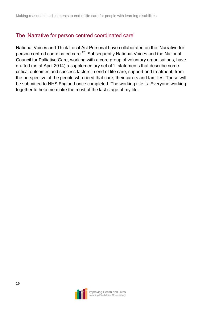#### The 'Narrative for person centred coordinated care'

<span id="page-15-0"></span>National Voices and Think Local Act Personal have collaborated on the 'Narrative for person centred coordinated care<sup>'42</sup>. Subsequently National Voices and the National Council for Palliative Care, working with a core group of voluntary organisations, have drafted (as at April 2014) a supplementary set of 'I' statements that describe some critical outcomes and success factors in end of life care, support and treatment, from the perspective of the people who need that care, their carers and families. These will be submitted to NHS England once completed. The working title is: Everyone working together to help me make the most of the last stage of my life.

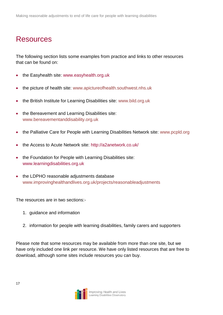### Resources

The following section lists some examples from practice and links to other resources that can be found on:

- the Easyhealth site: [www.easyhealth.org.uk](http://www.easyhealth.org.uk/)
- the picture of health site: [www.apictureofhealth.southwest.nhs.uk](http://www.apictureofhealth.southwest.nhs.uk/)
- the British Institute for Learning Disabilities site: [www.bild.org.uk](http://www.bild.org.uk/)
- the Bereavement and Learning Disabilities site: [www.bereavementanddisability.org.uk](http://www.bereavementanddisability.org.uk/)
- the Palliative Care for People with Learning Disabilities Network site: [www.pcpld.org](http://www.pcpld.org/)
- the Access to Acute Network site:<http://a2anetwork.co.uk/>
- the Foundation for People with Learning Disabilities site: [www.learningdisabilities.org.uk](http://www.learningdisabilities.org.uk/)
- the LDPHO reasonable adjustments database [www.improvinghealthandlives.org.uk/projects/reasonableadjustments](http://www.improvinghealthandlives.org.uk/projects/reasonableadjustments)

The resources are in two sections:-

- 1. guidance and information
- 2. information for people with learning disabilities, family carers and supporters

Please note that some resources may be available from more than one site, but we have only included one link per resource. We have only listed resources that are free to download, although some sites include resources you can buy.

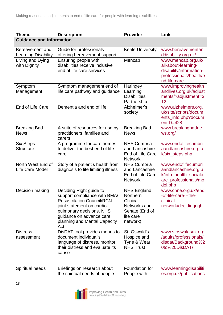| <b>Theme</b>                                  | <b>Description</b>                                                                                                                                                                                                       | <b>Provider</b>                                                                                       | Link                                                                                                           |
|-----------------------------------------------|--------------------------------------------------------------------------------------------------------------------------------------------------------------------------------------------------------------------------|-------------------------------------------------------------------------------------------------------|----------------------------------------------------------------------------------------------------------------|
| <b>Guidance and information</b>               |                                                                                                                                                                                                                          |                                                                                                       |                                                                                                                |
| Bereavement and<br><b>Learning Disability</b> | Guide for professionals<br>offering bereavement support                                                                                                                                                                  | <b>Keele University</b>                                                                               | www.bereavementan<br>ddisability.org.uk/                                                                       |
| Living and Dying<br>with Dignity              | Ensuring people with<br>disabilities receive inclusive<br>end of life care services                                                                                                                                      | Mencap                                                                                                | www.mencap.org.uk/<br>all-about-learning-<br>disability/information-<br>professionals/health/e<br>nd-life-care |
| Symptom<br>Management                         | Symptom management end of<br>life care pathway and guidance                                                                                                                                                              | Haringey<br>Learning<br><b>Disabilities</b><br>Partnership                                            | www.improvinghealth<br>andlives.org.uk/adjust<br>ments/?adjustment=3<br>12                                     |
| End of Life Care                              | Dementia and end of life                                                                                                                                                                                                 | Alzheimer's<br>society                                                                                | www.alzheimers.org.<br>uk/site/scripts/docum<br>ents_info.php?docum<br>$entID = 428$                           |
| <b>Breaking Bad</b><br><b>News</b>            | A suite of resources for use by<br>practitioners, families and<br>carers                                                                                                                                                 | <b>Breaking Bad</b><br><b>News</b>                                                                    | www.breakingbadne<br>ws.org/                                                                                   |
| <b>Six Steps</b><br><b>Structure</b>          | A programme for care homes<br>to deliver the best end of life<br>care                                                                                                                                                    | <b>NHS Cumbria</b><br>and Lancashire<br>End of Life Care<br><b>Network</b>                            | www.endoflifecumbri<br>aandlancashire.org.u<br>k/six_steps.php                                                 |
| North West End of<br>Life Care Model          | Story of a patient's health from<br>diagnosis to life limiting illness                                                                                                                                                   | <b>NHS Cumbria</b><br>and Lancashire<br>End of Life Care<br><b>Network</b>                            | www.endoflifecumbri<br>aandlancashire.org.u<br>k/info_health_socialc<br>are_professionals/mo<br>del.php        |
| Decision making                               | Deciding Right guide to<br>support compliance with BMA/<br><b>Resuscitation Council/RCN</b><br>joint statement on cardio-<br>pulmonary decisions, NHS<br>guidance on advance care<br>planning and Mental Capacity<br>Act | <b>NHS England</b><br>Northern<br>Clinical<br>Networks and<br>Senate (End of<br>life care<br>network) | www.cnne.org.uk/end<br>-of-life-care---the-<br>clinical-<br>network/decidingright                              |
| <b>Distress</b><br>assessment                 | DisDAT tool provides means to<br>document individual's<br>language of distress, monitor<br>their distress and evaluate its<br>cause                                                                                      | St. Oswald's<br>Hospice and<br>Tyne & Wear<br><b>NHS Trust</b>                                        | www.stoswaldsuk.org<br>/adults/professionals/<br>disdat/Background%2<br>0to%20DisDAT/                          |

| Spiritual needs | Briefings on research about   | <b>Foundation for</b> | www.learningdisabiliti |
|-----------------|-------------------------------|-----------------------|------------------------|
|                 | the spiritual needs of people | People with           | es.org.uk/publications |

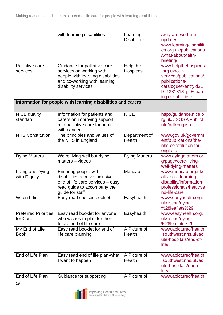|                                         | with learning disabilities                                                                                                                           | Learning<br><b>Disabilities</b> | /why-are-we-here-<br>update/<br>www.learningdisabiliti<br>es.org.uk/publications<br>/what-about-faith-<br>briefing/                               |
|-----------------------------------------|------------------------------------------------------------------------------------------------------------------------------------------------------|---------------------------------|---------------------------------------------------------------------------------------------------------------------------------------------------|
| Palliative care<br>services             | Guidance for palliative care<br>services on working with<br>people with learning disabilities<br>and co-working with learning<br>disability services | Help the<br>Hospices            | www.helpthehospices<br>.org.uk/our-<br>services/publications/<br>publications-<br>catalogue/?entryid21<br>9=138181&q=0~learn<br>ing+disabilities~ |
|                                         | Information for people with learning disabilities and carers                                                                                         |                                 |                                                                                                                                                   |
| <b>NICE</b> quality<br>standard         | Information for patients and<br>carers on improving support<br>and palliative care for adults<br>with cancer                                         | <b>NICE</b>                     | http://guidance.nice.o<br>rg.uk/CSGSP/Publicl<br>nfo/pdf/English                                                                                  |
| <b>NHS Constitution</b>                 | The principles and values of<br>the NHS in England                                                                                                   | Department of<br>Health         | www.gov.uk/governm<br>ent/publications/the-<br>nhs-constitution-for-<br>england                                                                   |
| <b>Dying Matters</b>                    | We're living well but dying<br>matters - videos                                                                                                      | <b>Dying Matters</b>            | www.dyingmatters.or<br>g/page/were-living-<br>well-dying-matters                                                                                  |
| Living and Dying<br>with Dignity        | Ensuring people with<br>disabilities receive inclusive<br>end of life care services - easy<br>read guide to accompany the<br>guide for staff         | Mencap                          | www.mencap.org.uk/<br>all-about-learning-<br>disability/information-<br>professionals/health/e<br>nd-life-care                                    |
| When I die                              | Easy read choices booklet                                                                                                                            | Easyhealth                      | www.easyhealth.org.<br>uk/listing/dying-<br>%28leaflets%29                                                                                        |
| <b>Preferred Priorities</b><br>for Care | Easy read booklet for anyone<br>who wishes to plan for their<br>future end of life care                                                              | Easyhealth                      | www.easyhealth.org.<br>uk/listing/dying-<br>%28leaflets%29                                                                                        |
| My End of Life<br><b>Book</b>           | Easy read booklet for end of<br>life care planning                                                                                                   | A Picture of<br>Health          | www.apictureofhealth<br>.southwest.nhs.uk/ac<br>ute-hospitals/end-of-<br>$l$ ife $/$                                                              |

| End of Life Plan | Easy read end of life plan-what  <br>I want to happen | A Picture of<br>Health | www.apictureofhealth<br>.southwest.nhs.uk/ac<br>ute-hospitals/end-of-<br>life/ |
|------------------|-------------------------------------------------------|------------------------|--------------------------------------------------------------------------------|
| End of Life Plan | Guidance for supporting                               | A Picture of           | www.apictureofhealth                                                           |

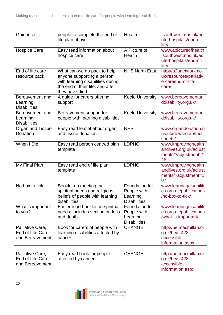| Guidance                                                | people to complete the end of<br>life plan above.                                                                                                    | Health                                                           | .southwest.nhs.uk/ac<br>ute-hospitals/end-of-<br>life/                         |
|---------------------------------------------------------|------------------------------------------------------------------------------------------------------------------------------------------------------|------------------------------------------------------------------|--------------------------------------------------------------------------------|
| <b>Hospice Care</b>                                     | Easy read information about<br>hospice care                                                                                                          | A Picture of<br>Health                                           | www.apictureofhealth<br>.southwest.nhs.uk/ac<br>ute-hospitals/end-of-<br>life/ |
| End of life care<br>resource pack                       | What can we do pack to help<br>anyone supporting a person<br>with learning disabilities during<br>the end of their life, and after<br>they have died | <b>NHS North East</b>                                            | http://a2anetwork.co.<br>uk/resources/palliativ<br>e-careend-of-life-<br>care/ |
| Bereavement and<br>Learning<br><b>Disabilities</b>      | A guide for carers offering<br>support                                                                                                               | <b>Keele University</b>                                          | www.bereavementan<br>ddisability.org.uk/                                       |
| Bereavement and<br>Learning<br><b>Disabilities</b>      | Bereavement support for<br>people with learning disabilities                                                                                         | <b>Keele University</b>                                          | www.bereavementan<br>ddisability.org.uk/                                       |
| Organ and Tissue<br>Donation                            | Easy read leaflet about organ<br>and tissue donation                                                                                                 | <b>NHS</b>                                                       | www.organdonation.n<br>hs.uk/newsroom/fact<br>sheets/                          |
| When I Die                                              | Easy read person centred plan<br>template                                                                                                            | <b>LDPHO</b>                                                     | www.improvinghealth<br>andlives.org.uk/adjust<br>ments/?adjustment=1<br>48     |
| My Final Plan                                           | Easy read end of life plan<br>template                                                                                                               | <b>LDPHO</b>                                                     | www.improvinghealth<br>andlives.org.uk/adjust<br>ments/?adjustment=1<br>07     |
| No box to tick                                          | Booklet on meeting the<br>spiritual needs and religious<br>beliefs of people with learning<br>disabilities                                           | Foundation for<br>People with<br>Learning<br><b>Disabilities</b> | www.learningdisabiliti<br>es.org.uk/publications<br>/no-box-to-tick/           |
| What is important<br>to you?                            | Easier read booklet on spiritual<br>needs; includes section on loss<br>and death                                                                     | Foundation for<br>People with<br>Learning<br><b>Disabilities</b> | www.learningdisabiliti<br>es.org.uk/publications<br>/what-is-important/        |
| Palliative Care,<br>End of Life Care<br>and Bereavement | Book for carers of people with<br>learning disabilities affected by<br>cancer                                                                        | <b>CHANGE</b>                                                    | http://be.macmillan.or<br>g.uk/be/s-428-<br>accessible-<br>information.aspx    |
|                                                         |                                                                                                                                                      |                                                                  |                                                                                |
| Palliative Care,                                        | Easy read book for people                                                                                                                            | <b>CHANGE</b>                                                    | http://be.macmillan.or                                                         |



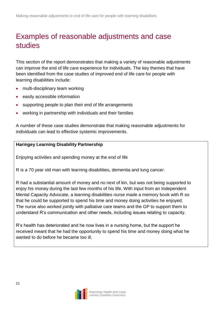### <span id="page-20-0"></span>Examples of reasonable adjustments and case studies

This section of the report demonstrates that making a variety of reasonable adjustments can improve the end of life care experience for individuals. The key themes that have been identified from the case studies of improved end of life care for people with learning disabilities include:

- multi-disciplinary team working
- easily accessible information
- supporting people to plan their end of life arrangements
- working in partnership with individuals and their families

A number of these case studies demonstrate that making reasonable adjustments for individuals can lead to effective systemic improvements.

#### **Haringey Learning Disability Partnership**

Enjoying activities and spending money at the end of life

R is a 70 year old man with learning disabilities, dementia and lung cancer.

R had a substantial amount of money and no next of kin, but was not being supported to enjoy his money during the last few months of his life. With input from an Independent Mental Capacity Advocate, a learning disabilities nurse made a memory book with R so that he could be supported to spend his time and money doing activities he enjoyed. The nurse also worked jointly with palliative care teams and the GP to support them to understand R's communication and other needs, including issues relating to capacity.

R's health has deteriorated and he now lives in a nursing home, but the support he received meant that he had the opportunity to spend his time and money doing what he wanted to do before he became too ill.

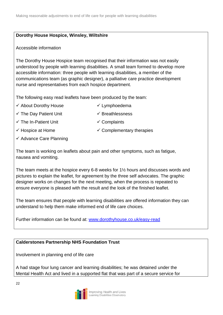#### **Dorothy House Hospice, Winsley, Wiltshire**

#### Accessible information

The Dorothy House Hospice team recognised that their information was not easily understood by people with learning disabilities. A small team formed to develop more accessible information: three people with learning disabilities, a member of the communications team (as graphic designer), a palliative care practice development nurse and representatives from each hospice department.

The following easy read leaflets have been produced by the team:

- 
- $\checkmark$  About Dorothy House  $\checkmark$  Lymphoedema
- $\checkmark$  The Day Patient Unit  $\checkmark$  Breathlessness
- $\checkmark$  The In-Patient Unit  $\checkmark$  Complaints
	-

- 
- $\checkmark$  Hospice at Home  $\checkmark$  Complementary therapies
- $\checkmark$  Advance Care Planning

The team is working on leaflets about pain and other symptoms, such as fatigue, nausea and vomiting.

The team meets at the hospice every 6-8 weeks for 1½ hours and discusses words and pictures to explain the leaflet, for agreement by the three self advocates. The graphic designer works on changes for the next meeting, when the process is repeated to ensure everyone is pleased with the result and the look of the finished leaflet.

The team ensures that people with learning disabilities are offered information they can understand to help them make informed end of life care choices.

Further information can be found at: [www.dorothyhouse.co.uk/easy-read](http://www.dorothyhouse.co.uk/easy-read)

#### **Calderstones Partnership NHS Foundation Trust**

Involvement in planning end of life care

A had stage four lung cancer and learning disabilities; he was detained under the Mental Health Act and lived in a supported flat that was part of a secure service for

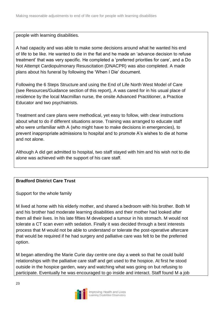people with learning disabilities.

A had capacity and was able to make some decisions around what he wanted his end of life to be like. He wanted to die in the flat and he made an 'advance decision to refuse treatment' that was very specific. He completed a 'preferred priorities for care', and a Do Not Attempt Cardiopulmonary Resuscitation (DNACPR) was also completed. A made plans about his funeral by following the 'When I Die' document.

Following the 6 Steps Structure and using the End of Life North West Model of Care (see Resources/Guidance section of this report), A was cared for in his usual place of residence by the local Macmillan nurse, the onsite Advanced Practitioner, a Practice Educator and two psychiatrists.

Treatment and care plans were methodical, yet easy to follow, with clear instructions about what to do if different situations arose. Training was arranged to educate staff who were unfamiliar with A (who might have to make decisions in emergencies), to prevent inappropriate admissions to hospital and to promote A's wishes to die at home and not alone.

Although A did get admitted to hospital, two staff stayed with him and his wish not to die alone was achieved with the support of his care staff.

#### **Bradford District Care Trust**

Support for the whole family

M lived at home with his elderly mother, and shared a bedroom with his brother. Both M and his brother had moderate learning disabilities and their mother had looked after them all their lives. In his late fifties M developed a tumour in his stomach. M would not tolerate a CT scan even with sedation. Finally it was decided through a best interests process that M would not be able to understand or tolerate the post-operative aftercare that would be required if he had surgery and palliative care was felt to be the preferred option.

M began attending the Marie Curie day centre one day a week so that he could build relationships with the palliative care staff and get used to the hospice. At first he stood outside in the hospice garden, wary and watching what was going on but refusing to participate. Eventually he was encouraged to go inside and interact. Staff found M a job

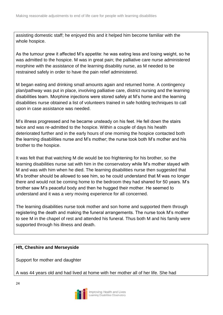assisting domestic staff; he enjoyed this and it helped him become familiar with the whole hospice.

As the tumour grew it affected M's appetite: he was eating less and losing weight, so he was admitted to the hospice. M was in great pain; the palliative care nurse administered morphine with the assistance of the learning disability nurse, as M needed to be restrained safely in order to have the pain relief administered.

M began eating and drinking small amounts again and returned home. A contingency plan/pathway was put in place, involving palliative care, district nursing and the learning disabilities team. Morphine injections were stored safely at M's home and the learning disabilities nurse obtained a list of volunteers trained in safe holding techniques to call upon in case assistance was needed.

M's illness progressed and he became unsteady on his feet. He fell down the stairs twice and was re-admitted to the hospice. Within a couple of days his health deteriorated further and in the early hours of one morning the hospice contacted both the learning disabilities nurse and M's mother; the nurse took both M's mother and his brother to the hospice.

It was felt that that watching M die would be too frightening for his brother, so the learning disabilities nurse sat with him in the conservatory while M's mother stayed with M and was with him when he died. The learning disabilities nurse then suggested that M's brother should be allowed to see him, so he could understand that M was no longer there and would not be coming home to the bedroom they had shared for 50 years. M's brother saw M's peaceful body and then he hugged their mother. He seemed to understand and it was a very moving experience for all concerned.

The learning disabilities nurse took mother and son home and supported them through registering the death and making the funeral arrangements. The nurse took M's mother to see M in the chapel of rest and attended his funeral. Thus both M and his family were supported through his illness and death.

#### **Hft, Cheshire and Merseyside**

Support for mother and daughter

A was 44 years old and had lived at home with her mother all of her life. She had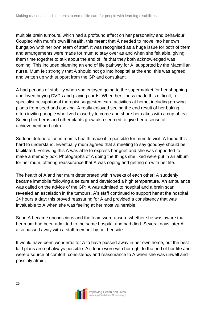multiple brain tumours, which had a profound effect on her personality and behaviour. Coupled with mum's own ill health, this meant that A needed to move into her own bungalow with her own team of staff. It was recognised as a huge issue for both of them and arrangements were made for mum to stay over as and when she felt able, giving them time together to talk about the end of life that they both acknowledged was coming. This included planning an end of life pathway for A, supported by the Macmillan nurse. Mum felt strongly that A should not go into hospital at the end; this was agreed and written up with support from the GP and consultant.

A had periods of stability when she enjoyed going to the supermarket for her shopping and loved buying DVDs and playing cards. When her illness made this difficult, a specialist occupational therapist suggested extra activities at home, including growing plants from seed and cooking. A really enjoyed seeing the end result of her baking, often inviting people who lived close by to come and share her cakes with a cup of tea. Seeing her herbs and other plants grow also seemed to give her a sense of achievement and calm.

Sudden deterioration in mum's health made it impossible for mum to visit; A found this hard to understand. Eventually mum agreed that a meeting to say goodbye should be facilitated. Following this A was able to express her grief and she was supported to make a memory box. Photographs of A doing the things she liked were put in an album for her mum, offering reassurance that A was coping and getting on with her life.

The health of A and her mum deteriorated within weeks of each other; A suddenly became immobile following a seizure and developed a high temperature. An ambulance was called on the advice of the GP; A was admitted to hospital and a brain scan revealed an escalation in the tumours. A's staff continued to support her at the hospital 24 hours a day; this proved reassuring for A and provided a consistency that was invaluable to A when she was feeling at her most vulnerable.

Soon A became unconscious and the team were unsure whether she was aware that her mum had been admitted to the same hospital and had died. Several days later A also passed away with a staff member by her bedside.

It would have been wonderful for A to have passed away in her own home, but the best laid plans are not always possible. A's team were with her right to the end of her life and were a source of comfort, consistency and reassurance to A when she was unwell and possibly afraid.

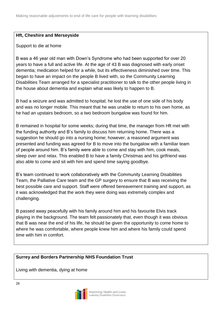#### **Hft, Cheshire and Merseyside**

#### Support to die at home

B was a 46 year old man with Down's Syndrome who had been supported for over 20 years to have a full and active life. At the age of 43 B was diagnosed with early onset dementia; medication helped for a while, but its effectiveness diminished over time. This began to have an impact on the people B lived with, so the Community Learning Disabilities Team arranged for a specialist practitioner to talk to the other people living in the house about dementia and explain what was likely to happen to B.

B had a seizure and was admitted to hospital; he lost the use of one side of his body and was no longer mobile. This meant that he was unable to return to his own home, as he had an upstairs bedroom, so a two bedroom bungalow was found for him.

B remained in hospital for some weeks; during that time, the manager from Hft met with the funding authority and B's family to discuss him returning home. There was a suggestion he should go into a nursing home; however, a reasoned argument was presented and funding was agreed for B to move into the bungalow with a familiar team of people around him. B's family were able to come and stay with him, cook meals, sleep over and relax. This enabled B to have a family Christmas and his girlfriend was also able to come and sit with him and spend time saying goodbye.

B's team continued to work collaboratively with the Community Learning Disabilities Team, the Palliative Care team and the GP surgery to ensure that B was receiving the best possible care and support. Staff were offered bereavement training and support, as it was acknowledged that the work they were doing was extremely complex and challenging.

B passed away peacefully with his family around him and his favourite Elvis track playing in the background. The team felt passionately that, even though it was obvious that B was near the end of his life, he should be given the opportunity to come home to where he was comfortable, where people knew him and where his family could spend time with him in comfort.

#### **Surrey and Borders Partnership NHS Foundation Trust**

Living with dementia, dying at home

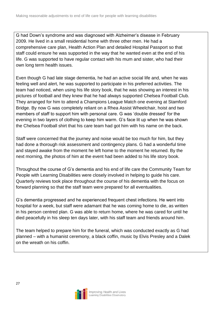G had Down's syndrome and was diagnosed with Alzheimer's disease in February 2009. He lived in a small residential home with three other men. He had a comprehensive care plan, Health Action Plan and detailed Hospital Passport so that staff could ensure he was supported in the way that he wanted even at the end of his life. G was supported to have regular contact with his mum and sister, who had their own long term health issues.

Even though G had late stage dementia, he had an active social life and, when he was feeling well and alert, he was supported to participate in his preferred activities. The team had noticed, when using his life story book, that he was showing an interest in his pictures of football and they knew that he had always supported Chelsea Football Club. They arranged for him to attend a Champions League Match one evening at Stamford Bridge. By now G was completely reliant on a Rhea Assist Wheelchair, hoist and two members of staff to support him with personal care. G was 'double dressed' for the evening in two layers of clothing to keep him warm. G's face lit up when he was shown the Chelsea Football shirt that his care team had got him with his name on the back.

Staff were concerned that the journey and noise would be too much for him, but they had done a thorough risk assessment and contingency plans. G had a wonderful time and stayed awake from the moment he left home to the moment he returned. By the next morning, the photos of him at the event had been added to his life story book.

Throughout the course of G's dementia and his end of life care the Community Team for People with Learning Disabilities were closely involved in helping to guide his care. Quarterly reviews took place throughout the course of his dementia with the focus on forward planning so that the staff team were prepared for all eventualities.

G's dementia progressed and he experienced frequent chest infections. He went into hospital for a week, but staff were adamant that he was coming home to die, as written in his person centred plan. G was able to return home, where he was cared for until he died peacefully in his sleep ten days later, with his staff team and friends around him.

The team helped to prepare him for the funeral, which was conducted exactly as G had planned – with a humanist ceremony, a black coffin, music by Elvis Presley and a Dalek on the wreath on his coffin.

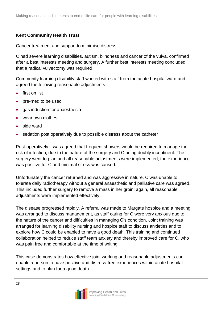#### **Kent Community Health Trust**

Cancer treatment and support to minimise distress

C had severe learning disabilities, autism, blindness and cancer of the vulva, confirmed after a best interests meeting and surgery. A further best interests meeting concluded that a radical vulvectomy was required.

Community learning disability staff worked with staff from the acute hospital ward and agreed the following reasonable adjustments:

- **•** first on list
- pre-med to be used
- gas induction for anaesthesia
- wear own clothes
- side ward
- sedation post operatively due to possible distress about the catheter

Post-operatively it was agreed that frequent showers would be required to manage the risk of infection, due to the nature of the surgery and C being doubly incontinent. The surgery went to plan and all reasonable adjustments were implemented; the experience was positive for C and minimal stress was caused.

Unfortunately the cancer returned and was aggressive in nature. C was unable to tolerate daily radiotherapy without a general anaesthetic and palliative care was agreed. This included further surgery to remove a mass in her groin; again, all reasonable adjustments were implemented effectively.

The disease progressed rapidly. A referral was made to Margate hospice and a meeting was arranged to discuss management, as staff caring for C were very anxious due to the nature of the cancer and difficulties in managing C's condition. Joint training was arranged for learning disability nursing and hospice staff to discuss anxieties and to explore how C could be enabled to have a good death. This training and continued collaboration helped to reduce staff team anxiety and thereby improved care for C, who was pain free and comfortable at the time of writing.

This case demonstrates how effective joint working and reasonable adjustments can enable a person to have positive and distress-free experiences within acute hospital settings and to plan for a good death.

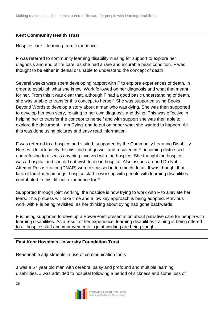#### **Kent Community Health Trust**

Hospice care – learning from experience

F was referred to community learning disability nursing for support to explore her diagnosis and end of life care, as she had a rare and incurable heart condition. F was thought to be either in denial or unable to understand the concept of death.

Several weeks were spent developing rapport with F to explore experiences of death, in order to establish what she knew. Work followed on her diagnosis and what that meant for her. From this it was clear that, although F had a good basic understanding of death, she was unable to transfer this concept to herself. She was supported using Books Beyond Words to develop a story about a man who was dying. She was then supported to develop her own story, relating to her own diagnosis and dying. This was effective in helping her to transfer the concept to herself and with support she was then able to explore the document 'I am Dying' and to put on paper what she wanted to happen. All this was done using pictures and easy read information.

F was referred to a hospice and visited, supported by the Community Learning Disability Nurses. Unfortunately this visit did not go well and resulted in F becoming distressed and refusing to discuss anything involved with the hospice. She thought the hospice was a hospital and she did not wish to die in hospital. Also, issues around Do Not Attempt Resuscitation (DNAR) were discussed in too much detail. It was thought that lack of familiarity amongst hospice staff in working with people with learning disabilities contributed to this difficult experience for F.

Supported through joint working, the hospice is now trying to work with F to alleviate her fears. This process will take time and a low key approach is being adopted. Previous work with F is being revisited, as her thinking about dying had gone backwards.

F is being supported to develop a PowerPoint presentation about palliative care for people with learning disabilities. As a result of her experience, learning disabilities training is being offered to all hospice staff and improvements in joint working are being sought.

#### **East Kent Hospitals University Foundation Trust**

Reasonable adjustments in use of communication tools

J was a 57 year old man with cerebral palsy and profound and multiple learning disabilities. J was admitted to hospital following a period of sickness and some loss of

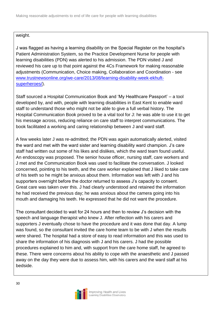#### weight.

J was flagged as having a learning disability on the Special Register on the hospital's Patient Administration System, so the Practice Development Nurse for people with learning disabilities (PDN) was alerted to his admission. The PDN visited J and reviewed his care up to that point against the 4Cs Framework for making reasonable adjustments (Communication, Choice making, Collaboration and Coordination - see [www.trustnewsonline.org/we-care/2013/08/learning-disability-week-ekhuft](http://www.trustnewsonline.org/we-care/2013/08/learning-disability-week-ekhuft-superheroes/)[superheroes/\)](http://www.trustnewsonline.org/we-care/2013/08/learning-disability-week-ekhuft-superheroes/).

Staff sourced a Hospital Communication Book and 'My Healthcare Passport' – a tool developed by, and with, people with learning disabilities in East Kent to enable ward staff to understand those who might not be able to give a full verbal history. The Hospital Communication Book proved to be a vital tool for J: he was able to use it to get his message across, reducing reliance on care staff to interpret communications. The book facilitated a working and caring relationship between J and ward staff.

A few weeks later J was re-admitted; the PDN was again automatically alerted, visited the ward and met with the ward sister and learning disability ward champion. J's care staff had written out some of his likes and dislikes, which the ward team found useful. An endoscopy was proposed. The senior house officer, nursing staff, care workers and J met and the Communication Book was used to facilitate the conversation. J looked concerned, pointing to his teeth, and the care worker explained that J liked to take care of his teeth so he might be anxious about them. Information was left with J and his supporters overnight before the doctor returned to assess J's capacity to consent. Great care was taken over this. J had clearly understood and retained the information he had received the previous day; he was anxious about the camera going into his mouth and damaging his teeth. He expressed that he did not want the procedure.

The consultant decided to wait for 24 hours and then to review J's decision with the speech and language therapist who knew J. After reflection with his carers and supporters J eventually chose to have the procedure and it was done that day. A lump was found, so the consultant invited the care home team to be with J when the results were shared. The hospital had a store of easy to read information and this was used to share the information of his diagnosis with J and his carers. J had the possible procedures explained to him and, with support from the care home staff, he agreed to these. There were concerns about his ability to cope with the anaesthetic and J passed away on the day they were due to assess him, with his carers and the ward staff at his bedside.

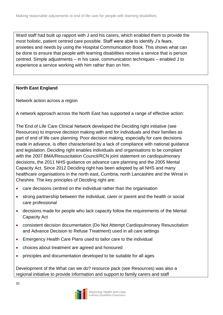Ward staff had built up rapport with J and his carers, which enabled them to provide the most holistic, patient centred care possible. Staff were able to identify J's fears, anxieties and needs by using the Hospital Communication Book. This shows what can be done to ensure that people with learning disabilities receive a service that is person centred. Simple adjustments – in his case, communication techniques – enabled J to experience a service working with him rather than on him.

#### **North East England**

Network action across a region

A network approach across the North East has supported a range of effective action:

The End of Life Care Clinical Network developed the Deciding right initiative (see Resources) to improve decision making with and for individuals and their families as part of end of life care planning. Poor decision making, especially for care decisions made in advance, is often characterised by a lack of compliance with national guidance and legislation. Deciding right enables individuals and organisations to be compliant with the 2007 BMA/Resuscitation Council/RCN joint statement on cardiopulmonary decisions, the 2011 NHS guidance on advance care planning and the 2005 Mental Capacity Act. Since 2012 Deciding right has been adopted by all NHS and many healthcare organisations in the north east, Cumbria, north Lancashire and the Wirral in Cheshire. The key principles of Deciding right are:

- care decisions centred on the individual rather than the organisation
- strong partnership between the individual, carer or parent and the health or social care professional
- decisions made for people who lack capacity follow the requirements of the Mental Capacity Act
- consistent decision documentation (Do Not Attempt Cardiopulmonary Resuscitation and Advance Decision to Refuse Treatment) used in all care settings
- Emergency Health Care Plans used to tailor care to the individual
- choices about treatment are agreed and honoured
- principles and documentation developed to be suitable for all ages

Development of the What can we do? resource pack (see Resources) was also a regional initiative to provide information and support to family carers and staff

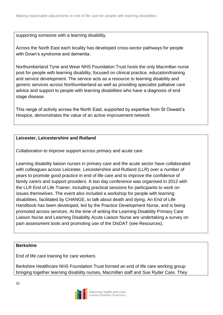supporting someone with a learning disability.

Across the North East each locality has developed cross-sector pathways for people with Down's syndrome and dementia.

Northumberland Tyne and Wear NHS Foundation Trust hosts the only Macmillan nurse post for people with learning disability, focused on clinical practice, education/training and service development. The service acts as a resource to learning disability and generic services across Northumberland as well as providing specialist palliative care advice and support to people with learning disabilities who have a diagnosis of end stage disease.

This range of activity across the North East, supported by expertise from St Oswald's Hospice, demonstrates the value of an active improvement network.

#### **Leicester, Leicestershire and Rutland**

Collaboration to improve support across primary and acute care

Learning disability liaison nurses in primary care and the acute sector have collaborated with colleagues across Leicester, Leicestershire and Rutland (LLR) over a number of years to promote good practice in end of life care and to improve the confidence of family carers and support providers. A two day conference was organised in 2012 with the LLR End of Life Trainer, including practical sessions for participants to work on issues themselves. The event also included a workshop for people with learning disabilities, facilitated by CHANGE, to talk about death and dying. An End of Life Handbook has been developed, led by the Practice Development Nurse, and is being promoted across services. At the time of writing the Learning Disability Primary Care Liaison Nurse and Learning Disability Acute Liaison Nurse are undertaking a survey on pain assessment tools and promoting use of the DisDAT (see Resources).

#### **Berkshire**

End of life care training for care workers

Berkshire Healthcare NHS Foundation Trust formed an end of life care working group bringing together learning disability nurses, Macmillan staff and Sue Ryder Care. They

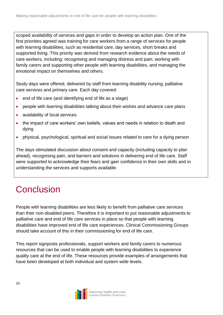scoped availability of services and gaps in order to develop an action plan. One of the first priorities agreed was training for care workers from a range of services for people with learning disabilities, such as residential care, day services, short breaks and supported living. This priority was derived from research evidence about the needs of care workers, including: recognising and managing distress and pain; working with family carers and supporting other people with learning disabilities, and managing the emotional impact on themselves and others.

Study days were offered, delivered by staff from learning disability nursing, palliative care services and primary care. Each day covered:

- end of life care (and identifying end of life as a stage)
- people with learning disabilities talking about their wishes and advance care plans
- availability of local services
- the impact of care workers' own beliefs, values and needs in relation to death and dying
- physical, psychological, spiritual and social issues related to care for a dying person

The days stimulated discussion about consent and capacity (including capacity to plan ahead), recognising pain, and barriers and solutions in delivering end of life care. Staff were supported to acknowledge their fears and gain confidence in their own skills and in understanding the services and supports available.

## <span id="page-32-0"></span>**Conclusion**

People with learning disabilities are less likely to benefit from palliative care services than their non-disabled peers. Therefore it is important to put reasonable adjustments to palliative care and end of life care services in place so that people with learning disabilities have improved end of life care experiences. Clinical Commissioning Groups should take account of this in their commissioning for end of life care.

This report signposts professionals, support workers and family carers to numerous resources that can be used to enable people with learning disabilities to experience quality care at the end of life. These resources provide examples of arrangements that have been developed at both individual and system wide levels.

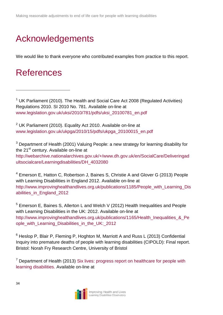# <span id="page-33-0"></span>Acknowledgements

We would like to thank everyone who contributed examples from practice to this report.

## <span id="page-33-1"></span>**References**

l

<sup>1</sup> UK Parliament (2010). The Health and Social Care Act 2008 (Regulated Activities) Regulations 2010. SI 2010 No. 781. Available on-line at [www.legislation.gov.uk/uksi/2010/781/pdfs/uksi\\_20100781\\_en.pdf](http://www.legislation.gov.uk/uksi/2010/781/pdfs/uksi_20100781_en.pdf)

 $2$  UK Parliament (2010). Equality Act 2010. Available on-line at [www.legislation.gov.uk/ukpga/2010/15/pdfs/ukpga\\_20100015\\_en.pdf](http://www.legislation.gov.uk/ukpga/2010/15/pdfs/ukpga_20100015_en.pdf)

<sup>3</sup> Department of Health (2001) Valuing People: a new strategy for learning disability for the 21<sup>st</sup> century. Available on-line at [http://webarchive.nationalarchives.gov.uk/+/www.dh.gov.uk/en/SocialCare/Deliveringad](http://webarchive.nationalarchives.gov.uk/+/www.dh.gov.uk/en/SocialCare/Deliveringadultsocialcare/Learningdisabilities/DH_4032080) [ultsocialcare/Learningdisabilities/DH\\_4032080](http://webarchive.nationalarchives.gov.uk/+/www.dh.gov.uk/en/SocialCare/Deliveringadultsocialcare/Learningdisabilities/DH_4032080)

<sup>4</sup> Emerson E, Hatton C, Robertson J, Baines S, Christie A and Glover G (2013) People with Learning Disabilities in England 2012. Available on-line at [http://www.improvinghealthandlives.org.uk/publications/1185/People\\_with\\_Learning\\_Dis](http://www.improvinghealthandlives.org.uk/publications/1185/People_with_Learning_Disabilities_in_England_2012) [abilities\\_in\\_England\\_2012](http://www.improvinghealthandlives.org.uk/publications/1185/People_with_Learning_Disabilities_in_England_2012)

<sup>5</sup> Emerson E, Baines S, Allerton L and Welch V (2012) Health Inequalities and People with Learning Disabilities in the UK: 2012. Available on-line at [http://www.improvinghealthandlives.org.uk/publications/1165/Health\\_Inequalities\\_&\\_Pe](http://www.improvinghealthandlives.org.uk/publications/1165/Health_Inequalities_&_People_with_Learning_Disabilities_in_the_UK:_2012) [ople\\_with\\_Learning\\_Disabilities\\_in\\_the\\_UK:\\_2012](http://www.improvinghealthandlives.org.uk/publications/1165/Health_Inequalities_&_People_with_Learning_Disabilities_in_the_UK:_2012)

<sup>6</sup> Heslop P, Blair P, Fleming P, Hoghton M, Marriott A and Russ L (2013) Confidential Inquiry into premature deaths of people with learning disabilities (CIPOLD): Final report. Bristol: Norah Fry Research Centre, University of Bristol

 $<sup>7</sup>$  Department of Health (2013) Six lives: progress report on healthcare for people with</sup> [learning disabilities.](https://www.gov.uk/government/uploads/system/uploads/attachment_data/file/212292/Six_lives_2nd_Progress_Report_on_Healthcare_for_People_with_Learning_Disabilities_-_full_report.pdf) Available on-line at

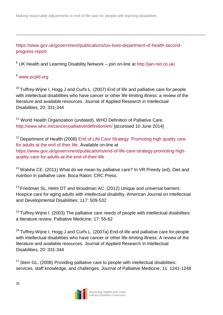[https://www.gov.uk/government/publications/six-lives-department-of-health-second](https://www.gov.uk/government/publications/six-lives-department-of-health-second-progress-report)[progress-report](https://www.gov.uk/government/publications/six-lives-department-of-health-second-progress-report)

<sup>8</sup> UK Health and Learning Disability Network – join on-line at<http://jan-net.co.uk/>

#### <sup>9</sup> [www.pcpld.org](http://www.pcpld.org/)

l

<sup>10</sup> Tuffrey-Wijne I, Hogg J and Curfs L. (2007) End of life and palliative care for people with intellectual disabilities who have cancer or other life-limiting illness: a review of the literature and available resources. Journal of Applied Research in Intellectual Disabilities; 20: 331-344

<sup>11</sup> World Health Organization (undated). WHO Definition of Palliative Care. <http://www.who.int/cancer/palliative/definition/en/> [accessed 10 June 2014]

<sup>12</sup> Department of Health (2008) End of Life Care Strategy: Promoting high quality care [for adults at the end of their life.](https://www.gov.uk/government/uploads/system/uploads/attachment_data/file/136431/End_of_life_strategy.pdf) Available on-line at [https://www.gov.uk/government/publications/end-of-life-care-strategy-promoting-high](https://www.gov.uk/government/publications/end-of-life-care-strategy-promoting-high-quality-care-for-adults-at-the-end-of-their-life)[quality-care-for-adults-at-the-end-of-their-life](https://www.gov.uk/government/publications/end-of-life-care-strategy-promoting-high-quality-care-for-adults-at-the-end-of-their-life)

 $13$  Walshe CE. (2011) What do we mean by palliative care? In VR Preedy (ed), Diet and nutrition in palliative care. Boca Raton: CRC Press.

<sup>14</sup> Friedman SL, Helm DT and Woodman AC. (2012) Unique and universal barriers: Hospice care for aging adults with intellectual disability. American Journal on Intellectual and Developmental Disabilities; 117: 509-532

 $15$  Tuffrey-Wijne I. (2003) The palliative care needs of people with intellectual disabilities: a literature review. Palliative Medicine; 17: 55-62

<sup>16</sup> Tuffrey-Wijne I, Hogg J and Curfs L. (2007a) End-of-life and palliative care for people with intellectual disabilities who have cancer or other life-limiting illness: A review of the literature and available resources. Journal of Applied Research in Intellectual Disabilities; 20: 331-344

<sup>17</sup> Stein GL. (2008) Providing palliative care to people with intellectual disabilities: services, staff knowledge, and challenges. Journal of Palliative Medicine; 11: 1241-1248



35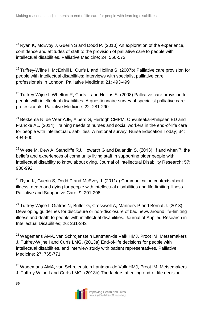$18$  Ryan K, McEvoy J, Guerin S and Dodd P. (2010) An exploration of the experience, confidence and attitudes of staff to the provision of palliative care to people with intellectual disabilities. Palliative Medicine; 24: 566-572

<sup>19</sup> Tuffrey-Wijne I, McEnhill L, Curfs L and Hollins S, (2007b) Palliative care provision for people with intellectual disabilities: Interviews with specialist palliative care professionals in London, Palliative Medicine; 21: 493-499

 $20$  Tuffrey-Wijne I, Whelton R, Curfs L and Hollins S. (2008) Palliative care provision for people with intellectual disabilities: A questionnaire survey of specialist palliative care professionals. Palliative Medicine; 22: 281-290

<sup>21</sup> Bekkema N, de Veer AJE, Albers G, Hertogh CMPM, Onwuteaka-Philipsen BD and Francke AL. (2014) Training needs of nurses and social workers in the end-of-life care for people with intellectual disabilities: A national survey. Nurse Education Today; 34: 494-500

 $22$  Wiese M, Dew A, Stancliffe RJ, Howarth G and Balandin S. (2013) 'If and when'?: the beliefs and experiences of community living staff in supporting older people with intellectual disability to know about dying. Journal of Intellectual Disability Research; 57: 980-992

 $23$  Ryan K, Guerin S, Dodd P and McEvoy J. (2011a) Communication contexts about illness, death and dying for people with intellectual disabilities and life-limiting illness. Palliative and Supportive Care; 9: 201-208

<sup>24</sup> Tuffrey-Wijne I, Giatras N, Butler G, Cresswell A, Manners P and Bernal J. (2013) Developing guidelines for disclosure or non-disclosure of bad news around life-limiting illness and death to people with intellectual disabilities. Journal of Applied Research in Intellectual Disabilities; 26: 231-242

<sup>25</sup> Wagemans AMA, van Schrojenstein Lantman-de Valk HMJ, Proot IM, Metsemakers J, Tuffrey-Wijne I and Curfs LMG. (2013a) End-of-life decisions for people with intellectual disabilities, and interview study with patient representatives. Palliative Medicine; 27: 765-771

<sup>26</sup> Wagemans AMA, van Schrojenstein Lantman-de Valk HMJ, Proot IM, Metsemakers J, Tuffrey-Wijne I and Curfs LMG. (2013b) The factors affecting end-of-life decision-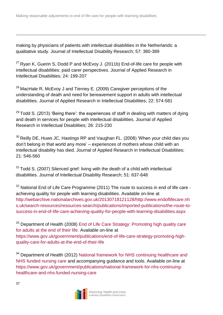making by physicians of patients with intellectual disabilities in the Netherlands: a qualitative study. Journal of Intellectual Disability Research; 57: 380-389

 $27$  Ryan K, Guerin S, Dodd P and McEvoy J. (2011b) End-of-life care for people with intellectual disabilities: paid carer perspectives. Journal of Applied Research in Intellectual Disabilities; 24: 199-207

 $28$  MacHale R, McEvoy J and Tierney E. (2009) Caregiver perceptions of the understanding of death and need for bereavement support in adults with intellectual disabilities. Journal of Applied Research in Intellectual Disabilities; 22: 574-581

<sup>29</sup> Todd S. (2013) 'Being there': the experiences of staff in dealing with matters of dying and death in services for people with intellectual disabilities. Journal of Applied Research in Intellectual Disabilities; 26: 215-230

 $30$  Reilly DE, Huws JC, Hastings RP and Vaughan FL. (2008) 'When your child dies you don't belong in that world any more' – experiences of mothers whose child with an intellectual disability has died. Journal of Applied Research in Intellectual Disabilities; 21: 546-560

 $31$  Todd S. (2007) Silenced grief: living with the death of a child with intellectual disabilities. Journal of Intellectual Disability Research; 51: 637-648

 $32$  National End of Life Care Programme (2011) The route to success in end of life care achieving quality for people with learning disabilities. Available on-line at [http://webarchive.nationalarchives.gov.uk/20130718121128/http://www.endoflifecare.nh](http://webarchive.nationalarchives.gov.uk/20130718121128/http:/www.endoflifecare.nhs.uk/search-resources/resources-search/publications/imported-publications/the-route-to-success-in-end-of-life-care-achieving-quality-for-people-with-learning-disabilities.aspx) [s.uk/search-resources/resources-search/publications/imported-publications/the-route-to](http://webarchive.nationalarchives.gov.uk/20130718121128/http:/www.endoflifecare.nhs.uk/search-resources/resources-search/publications/imported-publications/the-route-to-success-in-end-of-life-care-achieving-quality-for-people-with-learning-disabilities.aspx)[success-in-end-of-life-care-achieving-quality-for-people-with-learning-disabilities.aspx](http://webarchive.nationalarchives.gov.uk/20130718121128/http:/www.endoflifecare.nhs.uk/search-resources/resources-search/publications/imported-publications/the-route-to-success-in-end-of-life-care-achieving-quality-for-people-with-learning-disabilities.aspx)

<sup>33</sup> Department of Health (2008) End of Life Care Strategy: Promoting high quality care [for adults at the end of their life.](https://www.gov.uk/government/uploads/system/uploads/attachment_data/file/136431/End_of_life_strategy.pdf) Available on-line at [https://www.gov.uk/government/publications/end-of-life-care-strategy-promoting-high](https://www.gov.uk/government/publications/end-of-life-care-strategy-promoting-high-quality-care-for-adults-at-the-end-of-their-life)[quality-care-for-adults-at-the-end-of-their-life](https://www.gov.uk/government/publications/end-of-life-care-strategy-promoting-high-quality-care-for-adults-at-the-end-of-their-life)

<sup>34</sup> Department of Health (2012) National framework for NHS continuing healthcare and [NHS funded nursing care](https://www.gov.uk/government/uploads/system/uploads/attachment_data/file/213137/National-Framework-for-NHS-CHC-NHS-FNC-Nov-2012.pdf) and accompanying guidance and tools. Available on-line at [https://www.gov.uk/government/publications/national-framework-for-nhs-continuing](https://www.gov.uk/government/publications/national-framework-for-nhs-continuing-healthcare-and-nhs-funded-nursing-care)[healthcare-and-nhs-funded-nursing-care](https://www.gov.uk/government/publications/national-framework-for-nhs-continuing-healthcare-and-nhs-funded-nursing-care)

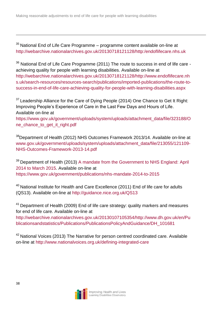$35$  National End of Life Care Programme – programme content available on-line at <http://webarchive.nationalarchives.gov.uk/20130718121128/http:/endoflifecare.nhs.uk>

<sup>36</sup> National End of Life Care Programme (2011) The route to success in end of life care achieving quality for people with learning disabilities. Available on-line at [http://webarchive.nationalarchives.gov.uk/20130718121128/http://www.endoflifecare.nh](http://webarchive.nationalarchives.gov.uk/20130718121128/http:/www.endoflifecare.nhs.uk/search-resources/resources-search/publications/imported-publications/the-route-to-success-in-end-of-life-care-achieving-quality-for-people-with-learning-disabilities.aspx) [s.uk/search-resources/resources-search/publications/imported-publications/the-route-to](http://webarchive.nationalarchives.gov.uk/20130718121128/http:/www.endoflifecare.nhs.uk/search-resources/resources-search/publications/imported-publications/the-route-to-success-in-end-of-life-care-achieving-quality-for-people-with-learning-disabilities.aspx)[success-in-end-of-life-care-achieving-quality-for-people-with-learning-disabilities.aspx](http://webarchive.nationalarchives.gov.uk/20130718121128/http:/www.endoflifecare.nhs.uk/search-resources/resources-search/publications/imported-publications/the-route-to-success-in-end-of-life-care-achieving-quality-for-people-with-learning-disabilities.aspx)

<sup>37</sup> Leadership Alliance for the Care of Dying People (2014) One Chance to Get It Right: Improving People's Experience of Care in the Last Few Days and Hours of Life. Available on-line at

[https://www.gov.uk/government/uploads/system/uploads/attachment\\_data/file/323188/O](https://www.gov.uk/government/uploads/system/uploads/attachment_data/file/323188/One_chance_to_get_it_right.pdf) [ne\\_chance\\_to\\_get\\_it\\_right.pdf](https://www.gov.uk/government/uploads/system/uploads/attachment_data/file/323188/One_chance_to_get_it_right.pdf)

<sup>38</sup>Department of Health (2012) NHS Outcomes Framework 2013/14. Available on-line at [www.gov.uk/government/uploads/system/uploads/attachment\\_data/file/213055/121109-](http://www.gov.uk/government/uploads/system/uploads/attachment_data/file/213055/121109-NHS-Outcomes-Framework-2013-14.pdf) [NHS-Outcomes-Framework-2013-14.pdf](http://www.gov.uk/government/uploads/system/uploads/attachment_data/file/213055/121109-NHS-Outcomes-Framework-2013-14.pdf)

<sup>39</sup> Department of Health (2013) A mandate from the Government to NHS England: April [2014 to March 2015.](https://www.gov.uk/government/uploads/system/uploads/attachment_data/file/256406/Mandate_14_15.pdf) Available on-line at <https://www.gov.uk/government/publications/nhs-mandate-2014-to-2015>

<sup>40</sup> National Institute for Health and Care Excellence (2011) End of life care for adults (QS13). Available on-line at<http://guidance.nice.org.uk/QS13>

<sup>41</sup> Department of Health (2009) End of life care strategy: quality markers and measures for end of life care. Available on-line at [http://webarchive.nationalarchives.gov.uk/20130107105354/http://www.dh.gov.uk/en/Pu](http://webarchive.nationalarchives.gov.uk/20130107105354/http:/www.dh.gov.uk/en/Publicationsandstatistics/Publications/PublicationsPolicyAndGuidance/DH_101681) [blicationsandstatistics/Publications/PublicationsPolicyAndGuidance/DH\\_101681](http://webarchive.nationalarchives.gov.uk/20130107105354/http:/www.dh.gov.uk/en/Publicationsandstatistics/Publications/PublicationsPolicyAndGuidance/DH_101681) 

<sup>42</sup> National Voices (2013) The Narrative for person centred coordinated care. Available on-line at<http://www.nationalvoices.org.uk/defining-integrated-care>